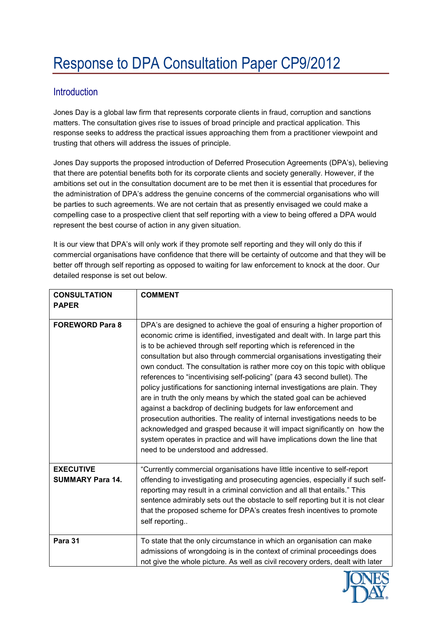## **Introduction**

Jones Day is a global law firm that represents corporate clients in fraud, corruption and sanctions matters. The consultation gives rise to issues of broad principle and practical application. This response seeks to address the practical issues approaching them from a practitioner viewpoint and trusting that others will address the issues of principle.

Jones Day supports the proposed introduction of Deferred Prosecution Agreements (DPA's), believing that there are potential benefits both for its corporate clients and society generally. However, if the ambitions set out in the consultation document are to be met then it is essential that procedures for the administration of DPA's address the genuine concerns of the commercial organisations who will be parties to such agreements. We are not certain that as presently envisaged we could make a compelling case to a prospective client that self reporting with a view to being offered a DPA would represent the best course of action in any given situation.

It is our view that DPA's will only work if they promote self reporting and they will only do this if commercial organisations have confidence that there will be certainty of outcome and that they will be better off through self reporting as opposed to waiting for law enforcement to knock at the door. Our detailed response is set out below.

| <b>CONSULTATION</b><br><b>PAPER</b>         | <b>COMMENT</b>                                                                                                                                                                                                                                                                                                                                                                                                                                                                                                                                                                                                                                                                                                                                                                                                                                                                                                                                                                         |
|---------------------------------------------|----------------------------------------------------------------------------------------------------------------------------------------------------------------------------------------------------------------------------------------------------------------------------------------------------------------------------------------------------------------------------------------------------------------------------------------------------------------------------------------------------------------------------------------------------------------------------------------------------------------------------------------------------------------------------------------------------------------------------------------------------------------------------------------------------------------------------------------------------------------------------------------------------------------------------------------------------------------------------------------|
| <b>FOREWORD Para 8</b>                      | DPA's are designed to achieve the goal of ensuring a higher proportion of<br>economic crime is identified, investigated and dealt with. In large part this<br>is to be achieved through self reporting which is referenced in the<br>consultation but also through commercial organisations investigating their<br>own conduct. The consultation is rather more coy on this topic with oblique<br>references to "incentivising self-policing" (para 43 second bullet). The<br>policy justifications for sanctioning internal investigations are plain. They<br>are in truth the only means by which the stated goal can be achieved<br>against a backdrop of declining budgets for law enforcement and<br>prosecution authorities. The reality of internal investigations needs to be<br>acknowledged and grasped because it will impact significantly on how the<br>system operates in practice and will have implications down the line that<br>need to be understood and addressed. |
| <b>EXECUTIVE</b><br><b>SUMMARY Para 14.</b> | "Currently commercial organisations have little incentive to self-report<br>offending to investigating and prosecuting agencies, especially if such self-<br>reporting may result in a criminal conviction and all that entails." This<br>sentence admirably sets out the obstacle to self reporting but it is not clear<br>that the proposed scheme for DPA's creates fresh incentives to promote<br>self reporting                                                                                                                                                                                                                                                                                                                                                                                                                                                                                                                                                                   |
| Para 31                                     | To state that the only circumstance in which an organisation can make<br>admissions of wrongdoing is in the context of criminal proceedings does<br>not give the whole picture. As well as civil recovery orders, dealt with later                                                                                                                                                                                                                                                                                                                                                                                                                                                                                                                                                                                                                                                                                                                                                     |

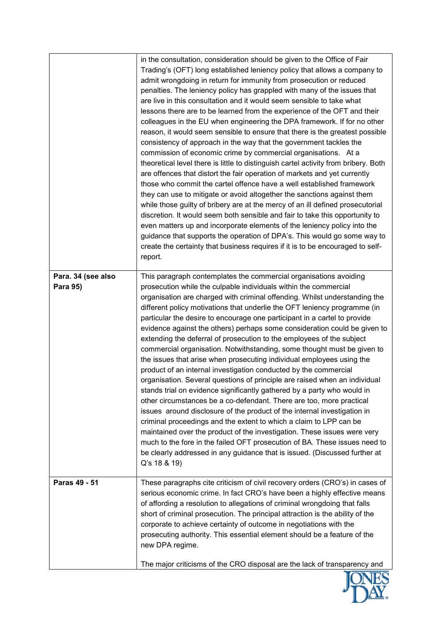|                                | in the consultation, consideration should be given to the Office of Fair<br>Trading's (OFT) long established leniency policy that allows a company to<br>admit wrongdoing in return for immunity from prosecution or reduced<br>penalties. The leniency policy has grappled with many of the issues that<br>are live in this consultation and it would seem sensible to take what<br>lessons there are to be learned from the experience of the OFT and their<br>colleagues in the EU when engineering the DPA framework. If for no other<br>reason, it would seem sensible to ensure that there is the greatest possible<br>consistency of approach in the way that the government tackles the<br>commission of economic crime by commercial organisations. At a<br>theoretical level there is little to distinguish cartel activity from bribery. Both<br>are offences that distort the fair operation of markets and yet currently<br>those who commit the cartel offence have a well established framework<br>they can use to mitigate or avoid altogether the sanctions against them<br>while those guilty of bribery are at the mercy of an ill defined prosecutorial<br>discretion. It would seem both sensible and fair to take this opportunity to<br>even matters up and incorporate elements of the leniency policy into the<br>guidance that supports the operation of DPA's. This would go some way to<br>create the certainty that business requires if it is to be encouraged to self-<br>report. |
|--------------------------------|------------------------------------------------------------------------------------------------------------------------------------------------------------------------------------------------------------------------------------------------------------------------------------------------------------------------------------------------------------------------------------------------------------------------------------------------------------------------------------------------------------------------------------------------------------------------------------------------------------------------------------------------------------------------------------------------------------------------------------------------------------------------------------------------------------------------------------------------------------------------------------------------------------------------------------------------------------------------------------------------------------------------------------------------------------------------------------------------------------------------------------------------------------------------------------------------------------------------------------------------------------------------------------------------------------------------------------------------------------------------------------------------------------------------------------------------------------------------------------------------------------------|
| Para. 34 (see also<br>Para 95) | This paragraph contemplates the commercial organisations avoiding<br>prosecution while the culpable individuals within the commercial<br>organisation are charged with criminal offending. Whilst understanding the<br>different policy motivations that underlie the OFT leniency programme (in<br>particular the desire to encourage one participant in a cartel to provide<br>evidence against the others) perhaps some consideration could be given to<br>extending the deferral of prosecution to the employees of the subject<br>commercial organisation. Notwithstanding, some thought must be given to<br>the issues that arise when prosecuting individual employees using the<br>product of an internal investigation conducted by the commercial<br>organisation. Several questions of principle are raised when an individual<br>stands trial on evidence significantly gathered by a party who would in<br>other circumstances be a co-defendant. There are too, more practical<br>issues around disclosure of the product of the internal investigation in<br>criminal proceedings and the extent to which a claim to LPP can be<br>maintained over the product of the investigation. These issues were very<br>much to the fore in the failed OFT prosecution of BA. These issues need to<br>be clearly addressed in any guidance that is issued. (Discussed further at<br>Q's 18 & 19)                                                                                                           |
| Paras 49 - 51                  | These paragraphs cite criticism of civil recovery orders (CRO's) in cases of<br>serious economic crime. In fact CRO's have been a highly effective means<br>of affording a resolution to allegations of criminal wrongdoing that falls<br>short of criminal prosecution. The principal attraction is the ability of the<br>corporate to achieve certainty of outcome in negotiations with the<br>prosecuting authority. This essential element should be a feature of the<br>new DPA regime.<br>The major criticisms of the CRO disposal are the lack of transparency and                                                                                                                                                                                                                                                                                                                                                                                                                                                                                                                                                                                                                                                                                                                                                                                                                                                                                                                                        |

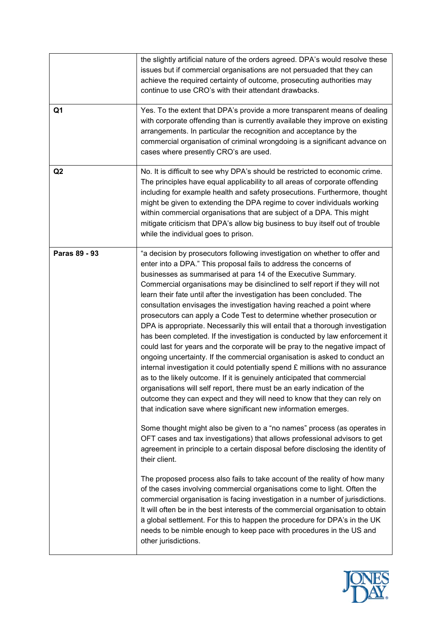| the slightly artificial nature of the orders agreed. DPA's would resolve these<br>issues but if commercial organisations are not persuaded that they can<br>achieve the required certainty of outcome, prosecuting authorities may<br>continue to use CRO's with their attendant drawbacks.                                                                                                                                                                                                                                                                                                                                                                                                                                                                                                                                                                                                                                                                                                                                                                                                                                                                                                                                                                                                                                                                                                                                                                                                                                                                                                                                                                                                                                                                                                                                                     |
|-------------------------------------------------------------------------------------------------------------------------------------------------------------------------------------------------------------------------------------------------------------------------------------------------------------------------------------------------------------------------------------------------------------------------------------------------------------------------------------------------------------------------------------------------------------------------------------------------------------------------------------------------------------------------------------------------------------------------------------------------------------------------------------------------------------------------------------------------------------------------------------------------------------------------------------------------------------------------------------------------------------------------------------------------------------------------------------------------------------------------------------------------------------------------------------------------------------------------------------------------------------------------------------------------------------------------------------------------------------------------------------------------------------------------------------------------------------------------------------------------------------------------------------------------------------------------------------------------------------------------------------------------------------------------------------------------------------------------------------------------------------------------------------------------------------------------------------------------|
| Yes. To the extent that DPA's provide a more transparent means of dealing<br>with corporate offending than is currently available they improve on existing<br>arrangements. In particular the recognition and acceptance by the<br>commercial organisation of criminal wrongdoing is a significant advance on<br>cases where presently CRO's are used.                                                                                                                                                                                                                                                                                                                                                                                                                                                                                                                                                                                                                                                                                                                                                                                                                                                                                                                                                                                                                                                                                                                                                                                                                                                                                                                                                                                                                                                                                          |
| No. It is difficult to see why DPA's should be restricted to economic crime.<br>The principles have equal applicability to all areas of corporate offending<br>including for example health and safety prosecutions. Furthermore, thought<br>might be given to extending the DPA regime to cover individuals working<br>within commercial organisations that are subject of a DPA. This might<br>mitigate criticism that DPA's allow big business to buy itself out of trouble<br>while the individual goes to prison.                                                                                                                                                                                                                                                                                                                                                                                                                                                                                                                                                                                                                                                                                                                                                                                                                                                                                                                                                                                                                                                                                                                                                                                                                                                                                                                          |
| "a decision by prosecutors following investigation on whether to offer and<br>enter into a DPA." This proposal fails to address the concerns of<br>businesses as summarised at para 14 of the Executive Summary.<br>Commercial organisations may be disinclined to self report if they will not<br>learn their fate until after the investigation has been concluded. The<br>consultation envisages the investigation having reached a point where<br>prosecutors can apply a Code Test to determine whether prosecution or<br>DPA is appropriate. Necessarily this will entail that a thorough investigation<br>has been completed. If the investigation is conducted by law enforcement it<br>could last for years and the corporate will be pray to the negative impact of<br>ongoing uncertainty. If the commercial organisation is asked to conduct an<br>internal investigation it could potentially spend £ millions with no assurance<br>as to the likely outcome. If it is genuinely anticipated that commercial<br>organisations will self report, there must be an early indication of the<br>outcome they can expect and they will need to know that they can rely on<br>that indication save where significant new information emerges.<br>Some thought might also be given to a "no names" process (as operates in<br>OFT cases and tax investigations) that allows professional advisors to get<br>agreement in principle to a certain disposal before disclosing the identity of<br>their client.<br>The proposed process also fails to take account of the reality of how many<br>of the cases involving commercial organisations come to light. Often the<br>commercial organisation is facing investigation in a number of jurisdictions.<br>It will often be in the best interests of the commercial organisation to obtain |
| a global settlement. For this to happen the procedure for DPA's in the UK<br>needs to be nimble enough to keep pace with procedures in the US and<br>other jurisdictions.                                                                                                                                                                                                                                                                                                                                                                                                                                                                                                                                                                                                                                                                                                                                                                                                                                                                                                                                                                                                                                                                                                                                                                                                                                                                                                                                                                                                                                                                                                                                                                                                                                                                       |
|                                                                                                                                                                                                                                                                                                                                                                                                                                                                                                                                                                                                                                                                                                                                                                                                                                                                                                                                                                                                                                                                                                                                                                                                                                                                                                                                                                                                                                                                                                                                                                                                                                                                                                                                                                                                                                                 |

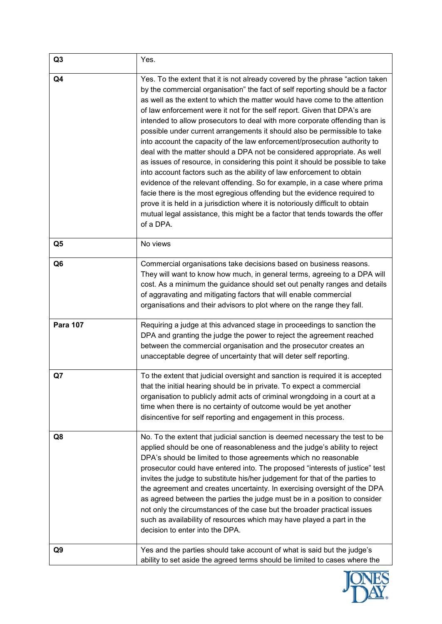| Q <sub>3</sub>  | Yes.                                                                                                                                                                                                                                                                                                                                                                                                                                                                                                                                                                                                                                                                                                                                                                                                                                                                                                                                                                                                                                                                                                                                              |
|-----------------|---------------------------------------------------------------------------------------------------------------------------------------------------------------------------------------------------------------------------------------------------------------------------------------------------------------------------------------------------------------------------------------------------------------------------------------------------------------------------------------------------------------------------------------------------------------------------------------------------------------------------------------------------------------------------------------------------------------------------------------------------------------------------------------------------------------------------------------------------------------------------------------------------------------------------------------------------------------------------------------------------------------------------------------------------------------------------------------------------------------------------------------------------|
| Q4              | Yes. To the extent that it is not already covered by the phrase "action taken"<br>by the commercial organisation" the fact of self reporting should be a factor<br>as well as the extent to which the matter would have come to the attention<br>of law enforcement were it not for the self report. Given that DPA's are<br>intended to allow prosecutors to deal with more corporate offending than is<br>possible under current arrangements it should also be permissible to take<br>into account the capacity of the law enforcement/prosecution authority to<br>deal with the matter should a DPA not be considered appropriate. As well<br>as issues of resource, in considering this point it should be possible to take<br>into account factors such as the ability of law enforcement to obtain<br>evidence of the relevant offending. So for example, in a case where prima<br>facie there is the most egregious offending but the evidence required to<br>prove it is held in a jurisdiction where it is notoriously difficult to obtain<br>mutual legal assistance, this might be a factor that tends towards the offer<br>of a DPA. |
| Q <sub>5</sub>  | No views                                                                                                                                                                                                                                                                                                                                                                                                                                                                                                                                                                                                                                                                                                                                                                                                                                                                                                                                                                                                                                                                                                                                          |
| Q <sub>6</sub>  | Commercial organisations take decisions based on business reasons.<br>They will want to know how much, in general terms, agreeing to a DPA will<br>cost. As a minimum the guidance should set out penalty ranges and details<br>of aggravating and mitigating factors that will enable commercial<br>organisations and their advisors to plot where on the range they fall.                                                                                                                                                                                                                                                                                                                                                                                                                                                                                                                                                                                                                                                                                                                                                                       |
| <b>Para 107</b> | Requiring a judge at this advanced stage in proceedings to sanction the<br>DPA and granting the judge the power to reject the agreement reached<br>between the commercial organisation and the prosecutor creates an<br>unacceptable degree of uncertainty that will deter self reporting.                                                                                                                                                                                                                                                                                                                                                                                                                                                                                                                                                                                                                                                                                                                                                                                                                                                        |
| Q7              | To the extent that judicial oversight and sanction is required it is accepted<br>that the initial hearing should be in private. To expect a commercial<br>organisation to publicly admit acts of criminal wrongdoing in a court at a<br>time when there is no certainty of outcome would be yet another<br>disincentive for self reporting and engagement in this process.                                                                                                                                                                                                                                                                                                                                                                                                                                                                                                                                                                                                                                                                                                                                                                        |
| Q8              | No. To the extent that judicial sanction is deemed necessary the test to be<br>applied should be one of reasonableness and the judge's ability to reject<br>DPA's should be limited to those agreements which no reasonable<br>prosecutor could have entered into. The proposed "interests of justice" test<br>invites the judge to substitute his/her judgement for that of the parties to<br>the agreement and creates uncertainty. In exercising oversight of the DPA<br>as agreed between the parties the judge must be in a position to consider<br>not only the circumstances of the case but the broader practical issues<br>such as availability of resources which may have played a part in the<br>decision to enter into the DPA.                                                                                                                                                                                                                                                                                                                                                                                                      |
| Q9              | Yes and the parties should take account of what is said but the judge's<br>ability to set aside the agreed terms should be limited to cases where the                                                                                                                                                                                                                                                                                                                                                                                                                                                                                                                                                                                                                                                                                                                                                                                                                                                                                                                                                                                             |

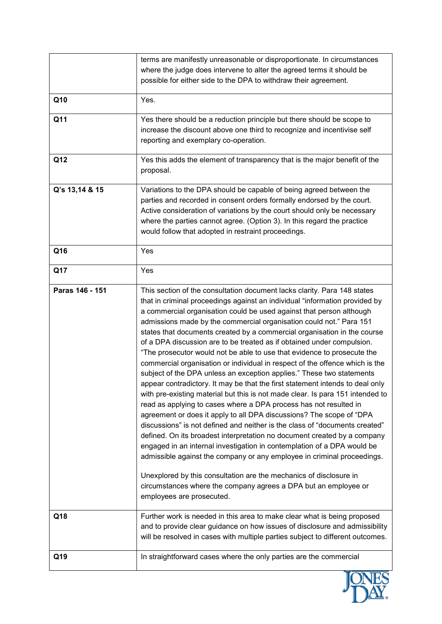|                 | terms are manifestly unreasonable or disproportionate. In circumstances<br>where the judge does intervene to alter the agreed terms it should be<br>possible for either side to the DPA to withdraw their agreement.                                                                                                                                                                                                                                                                                                                                                                                                                                                                                                                                                                                                                                                                                                                                                                                                                                                                                                                                                                                                                                                                                                                                                                                                                                                                                    |  |
|-----------------|---------------------------------------------------------------------------------------------------------------------------------------------------------------------------------------------------------------------------------------------------------------------------------------------------------------------------------------------------------------------------------------------------------------------------------------------------------------------------------------------------------------------------------------------------------------------------------------------------------------------------------------------------------------------------------------------------------------------------------------------------------------------------------------------------------------------------------------------------------------------------------------------------------------------------------------------------------------------------------------------------------------------------------------------------------------------------------------------------------------------------------------------------------------------------------------------------------------------------------------------------------------------------------------------------------------------------------------------------------------------------------------------------------------------------------------------------------------------------------------------------------|--|
| Q10             | Yes.                                                                                                                                                                                                                                                                                                                                                                                                                                                                                                                                                                                                                                                                                                                                                                                                                                                                                                                                                                                                                                                                                                                                                                                                                                                                                                                                                                                                                                                                                                    |  |
| Q11             | Yes there should be a reduction principle but there should be scope to<br>increase the discount above one third to recognize and incentivise self<br>reporting and exemplary co-operation.                                                                                                                                                                                                                                                                                                                                                                                                                                                                                                                                                                                                                                                                                                                                                                                                                                                                                                                                                                                                                                                                                                                                                                                                                                                                                                              |  |
| Q12             | Yes this adds the element of transparency that is the major benefit of the<br>proposal.                                                                                                                                                                                                                                                                                                                                                                                                                                                                                                                                                                                                                                                                                                                                                                                                                                                                                                                                                                                                                                                                                                                                                                                                                                                                                                                                                                                                                 |  |
| Q's 13,14 & 15  | Variations to the DPA should be capable of being agreed between the<br>parties and recorded in consent orders formally endorsed by the court.<br>Active consideration of variations by the court should only be necessary<br>where the parties cannot agree. (Option 3). In this regard the practice<br>would follow that adopted in restraint proceedings.                                                                                                                                                                                                                                                                                                                                                                                                                                                                                                                                                                                                                                                                                                                                                                                                                                                                                                                                                                                                                                                                                                                                             |  |
| Q16             | Yes                                                                                                                                                                                                                                                                                                                                                                                                                                                                                                                                                                                                                                                                                                                                                                                                                                                                                                                                                                                                                                                                                                                                                                                                                                                                                                                                                                                                                                                                                                     |  |
| Q17             | Yes                                                                                                                                                                                                                                                                                                                                                                                                                                                                                                                                                                                                                                                                                                                                                                                                                                                                                                                                                                                                                                                                                                                                                                                                                                                                                                                                                                                                                                                                                                     |  |
| Paras 146 - 151 | This section of the consultation document lacks clarity. Para 148 states<br>that in criminal proceedings against an individual "information provided by<br>a commercial organisation could be used against that person although<br>admissions made by the commercial organisation could not." Para 151<br>states that documents created by a commercial organisation in the course<br>of a DPA discussion are to be treated as if obtained under compulsion.<br>"The prosecutor would not be able to use that evidence to prosecute the<br>commercial organisation or individual in respect of the offence which is the<br>subject of the DPA unless an exception applies." These two statements<br>appear contradictory. It may be that the first statement intends to deal only<br>with pre-existing material but this is not made clear. Is para 151 intended to<br>read as applying to cases where a DPA process has not resulted in<br>agreement or does it apply to all DPA discussions? The scope of "DPA<br>discussions" is not defined and neither is the class of "documents created"<br>defined. On its broadest interpretation no document created by a company<br>engaged in an internal investigation in contemplation of a DPA would be<br>admissible against the company or any employee in criminal proceedings.<br>Unexplored by this consultation are the mechanics of disclosure in<br>circumstances where the company agrees a DPA but an employee or<br>employees are prosecuted. |  |
| Q18             | Further work is needed in this area to make clear what is being proposed<br>and to provide clear guidance on how issues of disclosure and admissibility<br>will be resolved in cases with multiple parties subject to different outcomes.                                                                                                                                                                                                                                                                                                                                                                                                                                                                                                                                                                                                                                                                                                                                                                                                                                                                                                                                                                                                                                                                                                                                                                                                                                                               |  |
| Q19             | In straightforward cases where the only parties are the commercial                                                                                                                                                                                                                                                                                                                                                                                                                                                                                                                                                                                                                                                                                                                                                                                                                                                                                                                                                                                                                                                                                                                                                                                                                                                                                                                                                                                                                                      |  |